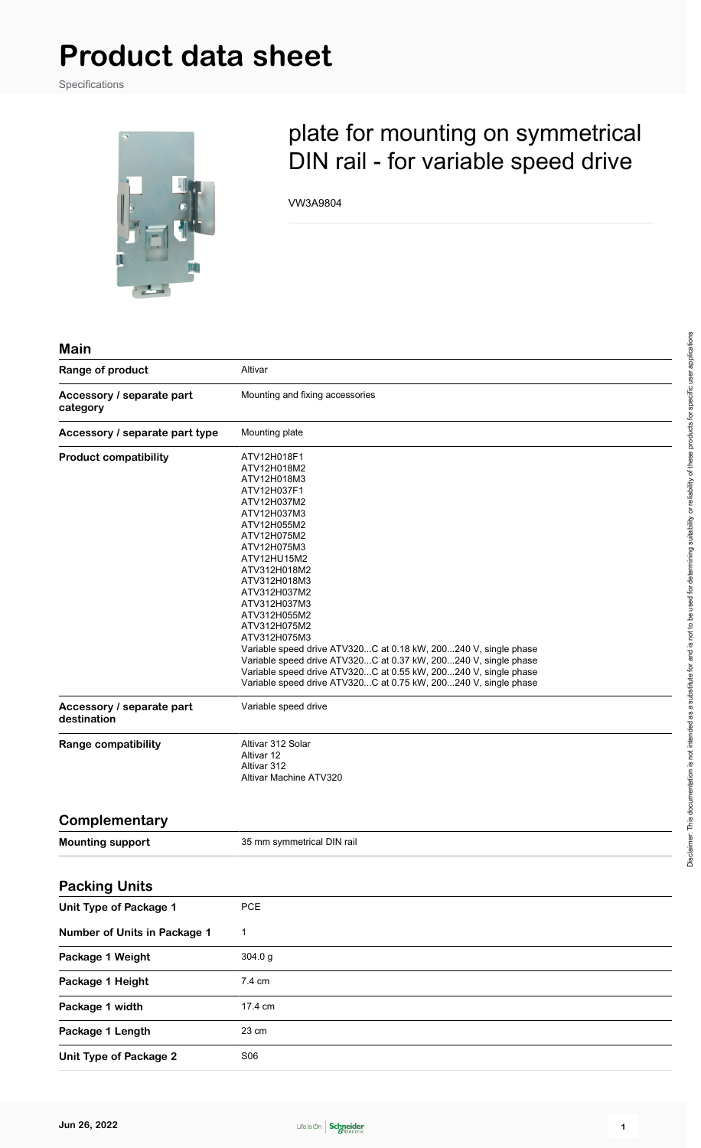# **Product data sheet**

Specifications



## plate for mounting on symmetrical DIN rail - for variable speed drive

VW3A9804

|      | 1 |
|------|---|
| Mair |   |
|      |   |
|      |   |

| Range of product                         | Altivar                                                                                                                                                                                                                                                                                                                                                                                                                                                                                                                                        |  |
|------------------------------------------|------------------------------------------------------------------------------------------------------------------------------------------------------------------------------------------------------------------------------------------------------------------------------------------------------------------------------------------------------------------------------------------------------------------------------------------------------------------------------------------------------------------------------------------------|--|
| Accessory / separate part<br>category    | Mounting and fixing accessories                                                                                                                                                                                                                                                                                                                                                                                                                                                                                                                |  |
| Accessory / separate part type           | Mounting plate                                                                                                                                                                                                                                                                                                                                                                                                                                                                                                                                 |  |
| <b>Product compatibility</b>             | ATV12H018F1<br>ATV12H018M2<br>ATV12H018M3<br>ATV12H037F1<br>ATV12H037M2<br>ATV12H037M3<br>ATV12H055M2<br>ATV12H075M2<br>ATV12H075M3<br>ATV12HU15M2<br>ATV312H018M2<br>ATV312H018M3<br>ATV312H037M2<br>ATV312H037M3<br>ATV312H055M2<br>ATV312H075M2<br>ATV312H075M3<br>Variable speed drive ATV320C at 0.18 kW, 200240 V, single phase<br>Variable speed drive ATV320C at 0.37 kW, 200240 V, single phase<br>Variable speed drive ATV320C at 0.55 kW, 200240 V, single phase<br>Variable speed drive ATV320C at 0.75 kW, 200240 V, single phase |  |
| Accessory / separate part<br>destination | Variable speed drive                                                                                                                                                                                                                                                                                                                                                                                                                                                                                                                           |  |
| <b>Range compatibility</b>               | Altivar 312 Solar<br>Altivar 12<br>Altivar 312<br>Altivar Machine ATV320                                                                                                                                                                                                                                                                                                                                                                                                                                                                       |  |
| Complementary                            |                                                                                                                                                                                                                                                                                                                                                                                                                                                                                                                                                |  |
| <b>Mounting support</b>                  | 35 mm symmetrical DIN rail                                                                                                                                                                                                                                                                                                                                                                                                                                                                                                                     |  |
| <b>Packing Units</b>                     |                                                                                                                                                                                                                                                                                                                                                                                                                                                                                                                                                |  |
| Unit Type of Package 1                   | PCE                                                                                                                                                                                                                                                                                                                                                                                                                                                                                                                                            |  |
| Number of Units in Package 1             | $\mathbf{1}$                                                                                                                                                                                                                                                                                                                                                                                                                                                                                                                                   |  |
| Package 1 Weight                         | 304.0 g                                                                                                                                                                                                                                                                                                                                                                                                                                                                                                                                        |  |
| Package 1 Height                         | 7.4 cm                                                                                                                                                                                                                                                                                                                                                                                                                                                                                                                                         |  |
| Package 1 width                          | 17.4 cm                                                                                                                                                                                                                                                                                                                                                                                                                                                                                                                                        |  |
| Package 1 Length                         | 23 cm                                                                                                                                                                                                                                                                                                                                                                                                                                                                                                                                          |  |
| <b>Unit Type of Package 2</b>            | <b>S06</b>                                                                                                                                                                                                                                                                                                                                                                                                                                                                                                                                     |  |

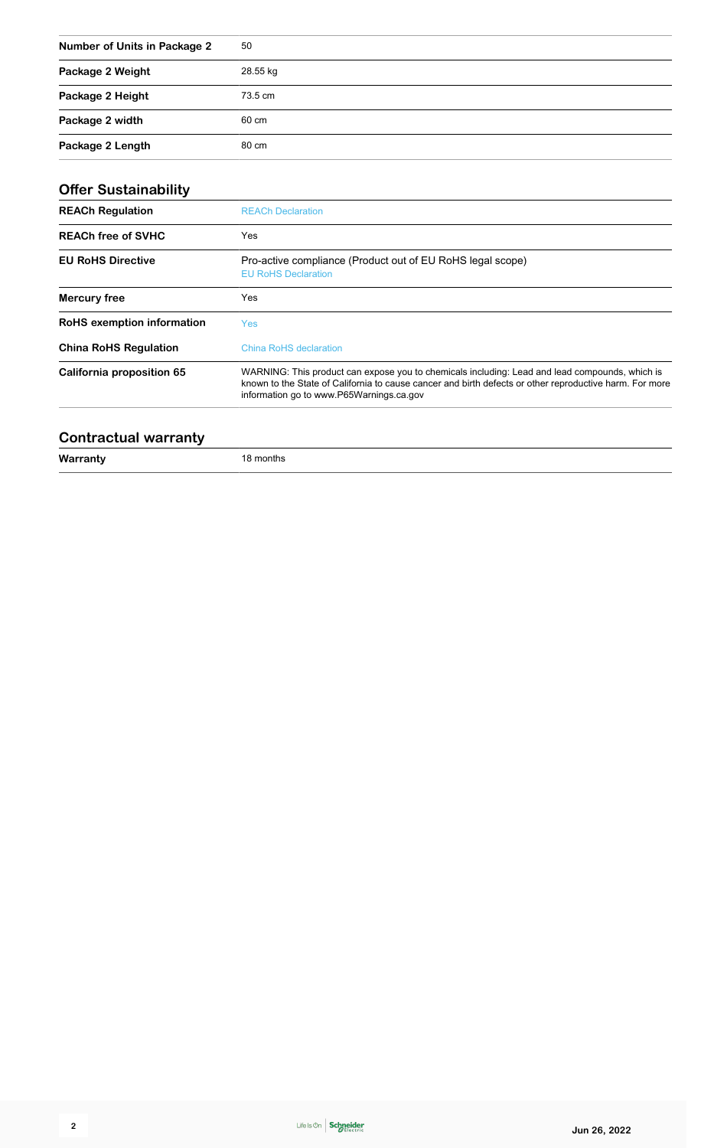| <b>Number of Units in Package 2</b> | 50       |
|-------------------------------------|----------|
| Package 2 Weight                    | 28.55 kg |
| Package 2 Height                    | 73.5 cm  |
| Package 2 width                     | 60 cm    |
| Package 2 Length                    | 80 cm    |

| <b>Offer Sustainability</b>       |                                                                                                                                                                                                                                                       |  |
|-----------------------------------|-------------------------------------------------------------------------------------------------------------------------------------------------------------------------------------------------------------------------------------------------------|--|
| <b>REACh Regulation</b>           | <b>REACh Declaration</b>                                                                                                                                                                                                                              |  |
| <b>REACh free of SVHC</b>         | Yes                                                                                                                                                                                                                                                   |  |
| <b>EU RoHS Directive</b>          | Pro-active compliance (Product out of EU RoHS legal scope)<br><b>EU RoHS Declaration</b>                                                                                                                                                              |  |
| <b>Mercury free</b>               | Yes                                                                                                                                                                                                                                                   |  |
| <b>RoHS</b> exemption information | <b>Yes</b>                                                                                                                                                                                                                                            |  |
| <b>China RoHS Regulation</b>      | <b>China RoHS declaration</b>                                                                                                                                                                                                                         |  |
| California proposition 65         | WARNING: This product can expose you to chemicals including: Lead and lead compounds, which is<br>known to the State of California to cause cancer and birth defects or other reproductive harm. For more<br>information go to www.P65Warnings.ca.gov |  |
|                                   |                                                                                                                                                                                                                                                       |  |

#### **Contractual warranty**

**Warranty** 18 months